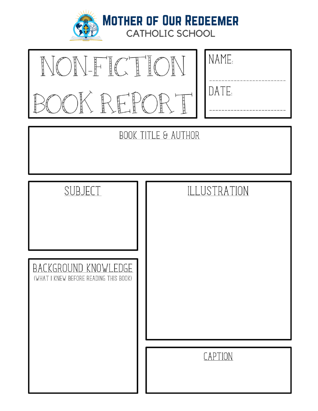

**MOTHER OF OUR REDEEMER**<br>CATHOLIC SCHOOL

| $\begin{picture}(120,111) \put(0,0){\line(1,0){155}} \put(15,0){\line(1,0){155}} \put(15,0){\line(1,0){155}} \put(15,0){\line(1,0){155}} \put(15,0){\line(1,0){155}} \put(15,0){\line(1,0){155}} \put(15,0){\line(1,0){155}} \put(15,0){\line(1,0){155}} \put(15,0){\line(1,0){155}} \put(15,0){\line(1,0){155}} \put(15,0){\line(1,0){155$ |
|---------------------------------------------------------------------------------------------------------------------------------------------------------------------------------------------------------------------------------------------------------------------------------------------------------------------------------------------|
| OK REPO<br>$\mathbb{R}$                                                                                                                                                                                                                                                                                                                     |

| NAME. |
|-------|
| DATE: |
|       |

# **BOOK TITLE & AUTHOR**

| SUBJECT                                                        | ILLUSTRATION |
|----------------------------------------------------------------|--------------|
| BACKGROUND KNOWLEDGE<br>(WHAT I KNEW BEFORE READING THIS BOOK) |              |
|                                                                | CAPTION      |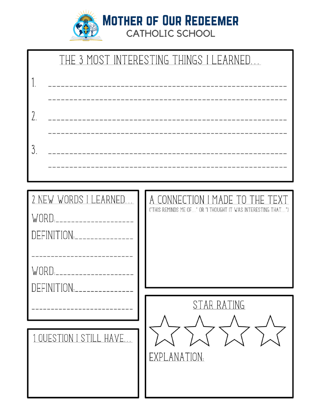

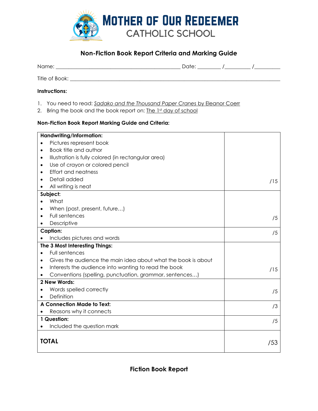

## **Non-Fiction Book Report Criteria and Marking Guide**

| Name:          | Date: |  |
|----------------|-------|--|
| Title of Book: |       |  |

#### **Instructions:**

- 1. You need to read: *Sadako and the Thousand Paper Cranes* by Eleanor Coerr
- 2. Bring the book and the book report on: The 1st day of school

#### **Non-Fiction Book Report Marking Guide and Criteria:**

| Handwriting/Information:                                                   |     |
|----------------------------------------------------------------------------|-----|
| Pictures represent book                                                    |     |
| Book title and author<br>$\bullet$                                         |     |
| Illustration is fully colored (in rectangular area)<br>٠                   |     |
| Use of crayon or colored pencil<br>$\bullet$                               |     |
| <b>Effort and neatness</b><br>٠                                            |     |
| Detail added                                                               | /15 |
| All writing is neat                                                        |     |
| Subject:                                                                   |     |
| What                                                                       |     |
| When (past, present, future)<br>$\bullet$                                  |     |
| Full sentences<br>$\bullet$                                                | /5  |
| Descriptive                                                                |     |
| <b>Caption:</b>                                                            | /5  |
| Includes pictures and words                                                |     |
| The 3 Most Interesting Things:                                             |     |
| Full sentences                                                             |     |
| Gives the audience the main idea about what the book is about<br>$\bullet$ |     |
| Interests the audience into wanting to read the book<br>$\bullet$          | /15 |
| Conventions (spelling, punctuation, grammar, sentences)                    |     |
| 2 New Words:                                                               |     |
| Words spelled correctly                                                    | /5  |
| Definition                                                                 |     |
| A Connection Made to Text:                                                 | /3  |
| Reasons why it connects                                                    |     |
| 1 Question:                                                                | /5  |
| Included the question mark                                                 |     |
|                                                                            |     |
| <b>TOTAL</b>                                                               | /53 |
|                                                                            |     |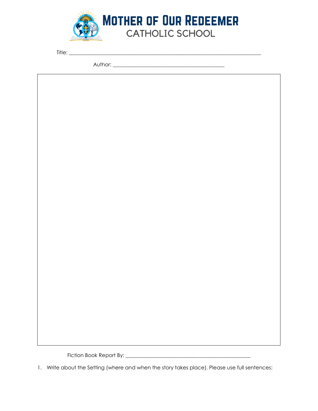

Title: \_\_\_\_\_\_\_\_\_\_\_\_\_\_\_\_\_\_\_\_\_\_\_\_\_\_\_\_\_\_\_\_\_\_\_\_\_\_\_\_\_\_\_\_\_\_\_\_\_\_\_\_\_\_\_\_\_\_\_\_\_\_\_\_\_\_\_\_\_\_\_\_\_\_

Author: \_\_\_\_\_\_\_\_\_\_\_\_\_\_\_\_\_\_\_\_\_\_\_\_\_\_\_\_\_\_\_\_\_\_\_\_\_\_\_\_\_\_\_

Fiction Book Report By: \_\_\_\_\_\_\_\_\_\_\_\_\_\_\_\_\_\_\_\_\_\_\_\_\_\_\_\_\_\_\_\_\_\_\_\_\_\_\_\_\_\_\_\_\_\_\_\_

1. Write about the Setting (where and when the story takes place). Please use full sentences: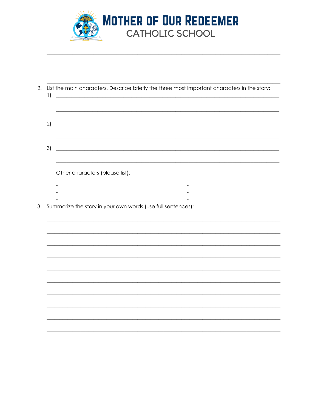

| 1) | List the main characters. Describe briefly the three most important characters in the story:<br><u> 1980 - Johann Stoff, deutscher Stoffen und der Stoffen und der Stoffen und der Stoffen und der Stoffen und der</u> |
|----|------------------------------------------------------------------------------------------------------------------------------------------------------------------------------------------------------------------------|
| 2) | <u> 1989 - Johann Stoff, deutscher Stoffen und der Stoffen und der Stoffen und der Stoffen und der Stoffen und der</u>                                                                                                 |
| 3) | <u> 1980 - Johann Barn, marwolaethau a bhann an t-Amhainn an t-Amhainn an t-Amhainn an t-Amhainn an t-Amhainn an</u>                                                                                                   |
|    | Other characters (please list):                                                                                                                                                                                        |
|    |                                                                                                                                                                                                                        |
|    | 3. Summarize the story in your own words (use full sentences):                                                                                                                                                         |
|    |                                                                                                                                                                                                                        |
|    |                                                                                                                                                                                                                        |
|    |                                                                                                                                                                                                                        |
|    |                                                                                                                                                                                                                        |
|    |                                                                                                                                                                                                                        |
|    |                                                                                                                                                                                                                        |